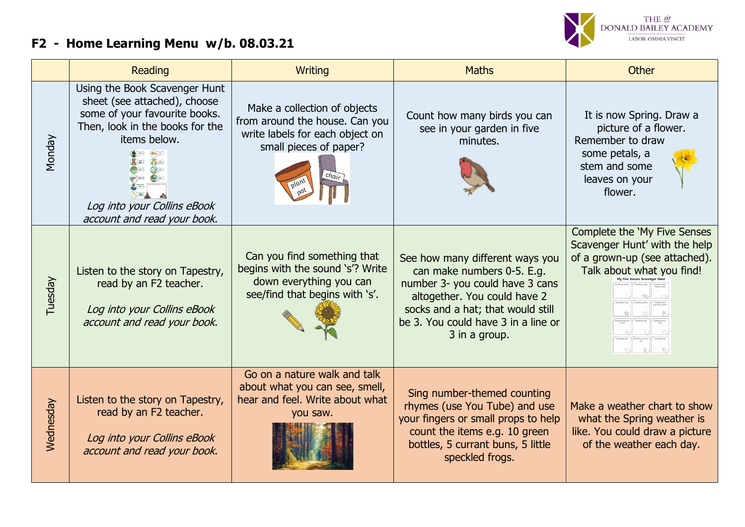## **F2 - Home Learning Menu w/b. 08.03.21**



|           | Reading                                                                                                                                                                                                         | <b>Writing</b>                                                                                                               | <b>Maths</b>                                                                                                                                                                                                                  | <b>Other</b>                                                                                                                         |
|-----------|-----------------------------------------------------------------------------------------------------------------------------------------------------------------------------------------------------------------|------------------------------------------------------------------------------------------------------------------------------|-------------------------------------------------------------------------------------------------------------------------------------------------------------------------------------------------------------------------------|--------------------------------------------------------------------------------------------------------------------------------------|
| Monday    | Using the Book Scavenger Hunt<br>sheet (see attached), choose<br>some of your favourite books.<br>Then, look in the books for the<br>items below.<br>Log into your Collins eBook<br>account and read your book. | Make a collection of objects<br>from around the house. Can you<br>write labels for each object on<br>small pieces of paper?  | Count how many birds you can<br>see in your garden in five<br>minutes.                                                                                                                                                        | It is now Spring. Draw a<br>picture of a flower.<br>Remember to draw<br>some petals, a<br>stem and some<br>leaves on your<br>flower. |
| Tuesday   | Listen to the story on Tapestry,<br>read by an F2 teacher.<br>Log into your Collins eBook<br>account and read your book.                                                                                        | Can you find something that<br>begins with the sound 's'? Write<br>down everything you can<br>see/find that begins with 's'. | See how many different ways you<br>can make numbers 0-5. E.g.<br>number 3- you could have 3 cans<br>altogether. You could have 2<br>socks and a hat; that would still<br>be 3. You could have 3 in a line or<br>3 in a group. | Complete the 'My Five Senses<br>Scavenger Hunt' with the help<br>of a grown-up (see attached).<br>Talk about what you find!          |
| Wednesday | Listen to the story on Tapestry,<br>read by an F2 teacher.<br>Log into your Collins eBook<br>account and read your book.                                                                                        | Go on a nature walk and talk<br>about what you can see, smell,<br>hear and feel. Write about what<br>you saw.                | Sing number-themed counting<br>rhymes (use You Tube) and use<br>your fingers or small props to help<br>count the items e.g. 10 green<br>bottles, 5 currant buns, 5 little<br>speckled frogs.                                  | Make a weather chart to show<br>what the Spring weather is<br>like. You could draw a picture<br>of the weather each day.             |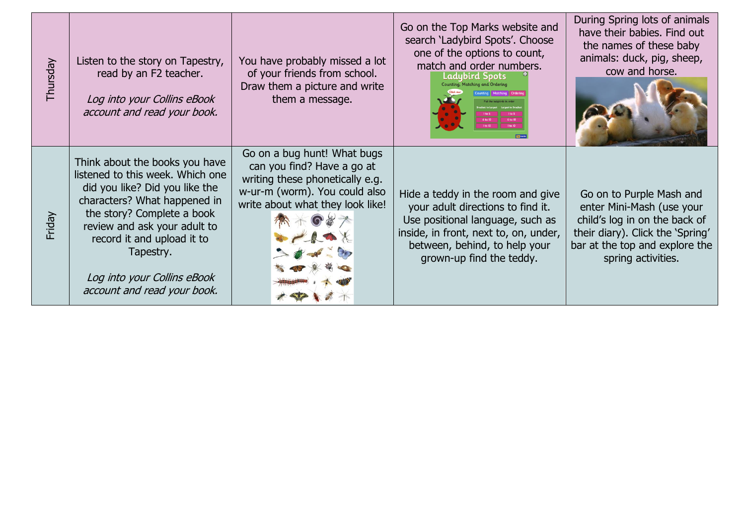| Thursday | Listen to the story on Tapestry,<br>read by an F2 teacher.<br>Log into your Collins eBook<br>account and read your book.                                                                                                                                                                                    | You have probably missed a lot<br>of your friends from school.<br>Draw them a picture and write<br>them a message.                                                | Go on the Top Marks website and<br>search 'Ladybird Spots'. Choose<br>one of the options to count,<br>match and order numbers.<br>Ladybird Spots<br>ounting   Matching   Ordering<br>6 to 10<br>6 to 10<br>1 to 10<br>1 to 10 | During Spring lots of animals<br>have their babies. Find out<br>the names of these baby<br>animals: duck, pig, sheep,<br>cow and horse.                                            |
|----------|-------------------------------------------------------------------------------------------------------------------------------------------------------------------------------------------------------------------------------------------------------------------------------------------------------------|-------------------------------------------------------------------------------------------------------------------------------------------------------------------|-------------------------------------------------------------------------------------------------------------------------------------------------------------------------------------------------------------------------------|------------------------------------------------------------------------------------------------------------------------------------------------------------------------------------|
| Friday   | Think about the books you have<br>listened to this week. Which one<br>did you like? Did you like the<br>characters? What happened in<br>the story? Complete a book<br>review and ask your adult to<br>record it and upload it to<br>Tapestry.<br>Log into your Collins eBook<br>account and read your book. | Go on a bug hunt! What bugs<br>can you find? Have a go at<br>writing these phonetically e.g.<br>w-ur-m (worm). You could also<br>write about what they look like! | Hide a teddy in the room and give<br>your adult directions to find it.<br>Use positional language, such as<br>inside, in front, next to, on, under,<br>between, behind, to help your<br>grown-up find the teddy.              | Go on to Purple Mash and<br>enter Mini-Mash (use your<br>child's log in on the back of<br>their diary). Click the 'Spring'<br>bar at the top and explore the<br>spring activities. |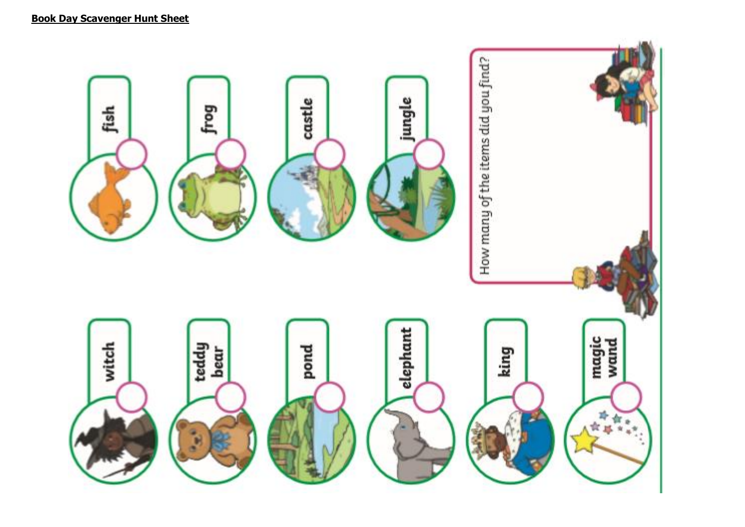